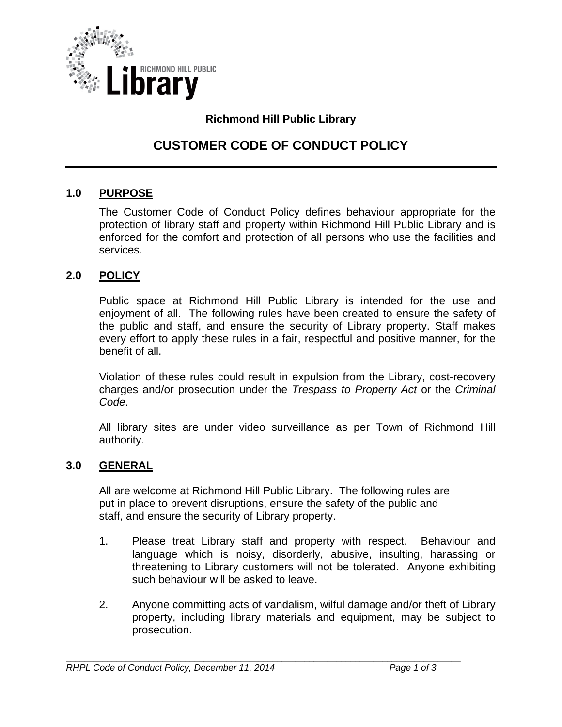

### **Richmond Hill Public Library**

# **CUSTOMER CODE OF CONDUCT POLICY**

#### **1.0 PURPOSE**

The Customer Code of Conduct Policy defines behaviour appropriate for the protection of library staff and property within Richmond Hill Public Library and is enforced for the comfort and protection of all persons who use the facilities and services.

#### **2.0 POLICY**

Public space at Richmond Hill Public Library is intended for the use and enjoyment of all. The following rules have been created to ensure the safety of the public and staff, and ensure the security of Library property. Staff makes every effort to apply these rules in a fair, respectful and positive manner, for the benefit of all.

Violation of these rules could result in expulsion from the Library, cost-recovery charges and/or prosecution under the *Trespass to Property Act* or the *Criminal Code*.

All library sites are under video surveillance as per Town of Richmond Hill authority.

#### **3.0 GENERAL**

All are welcome at Richmond Hill Public Library. The following rules are put in place to prevent disruptions, ensure the safety of the public and staff, and ensure the security of Library property.

- 1. Please treat Library staff and property with respect. Behaviour and language which is noisy, disorderly, abusive, insulting, harassing or threatening to Library customers will not be tolerated. Anyone exhibiting such behaviour will be asked to leave.
- 2. Anyone committing acts of vandalism, wilful damage and/or theft of Library property, including library materials and equipment, may be subject to prosecution.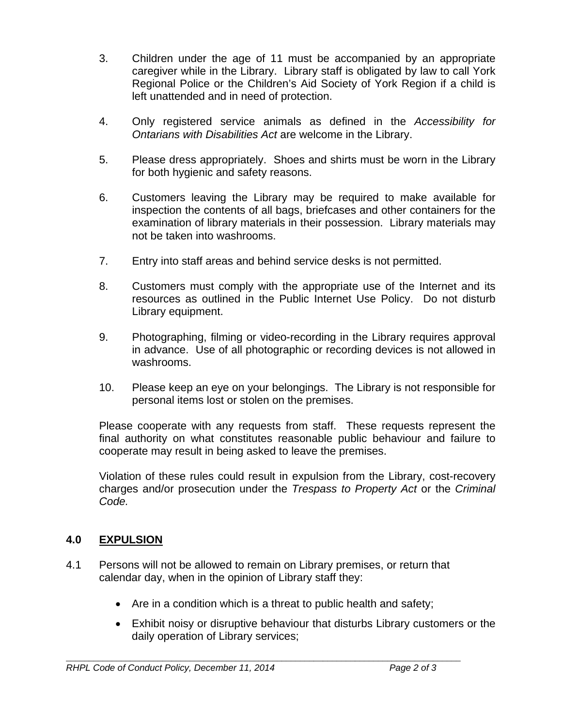- 3. Children under the age of 11 must be accompanied by an appropriate caregiver while in the Library. Library staff is obligated by law to call York Regional Police or the Children's Aid Society of York Region if a child is left unattended and in need of protection.
- 4. Only registered service animals as defined in the *Accessibility for Ontarians with Disabilities Act* are welcome in the Library.
- 5. Please dress appropriately. Shoes and shirts must be worn in the Library for both hygienic and safety reasons.
- 6. Customers leaving the Library may be required to make available for inspection the contents of all bags, briefcases and other containers for the examination of library materials in their possession. Library materials may not be taken into washrooms.
- 7. Entry into staff areas and behind service desks is not permitted.
- 8. Customers must comply with the appropriate use of the Internet and its resources as outlined in the Public Internet Use Policy. Do not disturb Library equipment.
- 9. Photographing, filming or video-recording in the Library requires approval in advance. Use of all photographic or recording devices is not allowed in washrooms.
- 10. Please keep an eye on your belongings. The Library is not responsible for personal items lost or stolen on the premises.

Please cooperate with any requests from staff. These requests represent the final authority on what constitutes reasonable public behaviour and failure to cooperate may result in being asked to leave the premises.

Violation of these rules could result in expulsion from the Library, cost-recovery charges and/or prosecution under the *Trespass to Property Act* or the *Criminal Code.*

## **4.0 EXPULSION**

- 4.1 Persons will not be allowed to remain on Library premises, or return that calendar day, when in the opinion of Library staff they:
	- Are in a condition which is a threat to public health and safety;
	- Exhibit noisy or disruptive behaviour that disturbs Library customers or the daily operation of Library services;